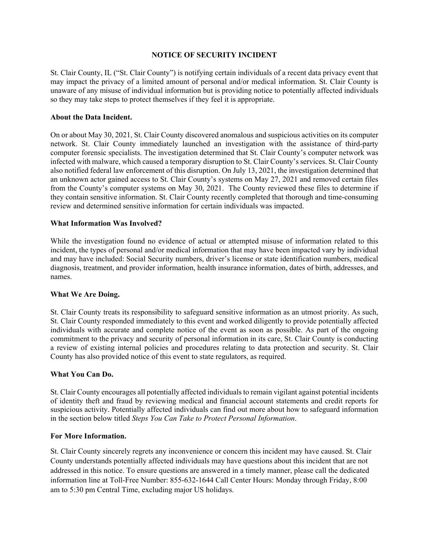#### **NOTICE OF SECURITY INCIDENT**

St. Clair County, IL ("St. Clair County") is notifying certain individuals of a recent data privacy event that may impact the privacy of a limited amount of personal and/or medical information. St. Clair County is unaware of any misuse of individual information but is providing notice to potentially affected individuals so they may take steps to protect themselves if they feel it is appropriate.

#### **About the Data Incident.**

On or about May 30, 2021, St. Clair County discovered anomalous and suspicious activities on its computer network. St. Clair County immediately launched an investigation with the assistance of third-party computer forensic specialists. The investigation determined that St. Clair County's computer network was infected with malware, which caused a temporary disruption to St. Clair County's services. St. Clair County also notified federal law enforcement of this disruption. On July 13, 2021, the investigation determined that an unknown actor gained access to St. Clair County's systems on May 27, 2021 and removed certain files from the County's computer systems on May 30, 2021. The County reviewed these files to determine if they contain sensitive information. St. Clair County recently completed that thorough and time-consuming review and determined sensitive information for certain individuals was impacted.

### **What Information Was Involved?**

While the investigation found no evidence of actual or attempted misuse of information related to this incident, the types of personal and/or medical information that may have been impacted vary by individual and may have included: Social Security numbers, driver's license or state identification numbers, medical diagnosis, treatment, and provider information, health insurance information, dates of birth, addresses, and names.

### **What We Are Doing.**

St. Clair County treats its responsibility to safeguard sensitive information as an utmost priority. As such, St. Clair County responded immediately to this event and worked diligently to provide potentially affected individuals with accurate and complete notice of the event as soon as possible. As part of the ongoing commitment to the privacy and security of personal information in its care, St. Clair County is conducting a review of existing internal policies and procedures relating to data protection and security. St. Clair County has also provided notice of this event to state regulators, as required.

### **What You Can Do.**

St. Clair County encourages all potentially affected individuals to remain vigilant against potential incidents of identity theft and fraud by reviewing medical and financial account statements and credit reports for suspicious activity. Potentially affected individuals can find out more about how to safeguard information in the section below titled *Steps You Can Take to Protect Personal Information*.

#### **For More Information.**

St. Clair County sincerely regrets any inconvenience or concern this incident may have caused. St. Clair County understands potentially affected individuals may have questions about this incident that are not addressed in this notice. To ensure questions are answered in a timely manner, please call the dedicated information line at Toll-Free Number: 855-632-1644 Call Center Hours: Monday through Friday, 8:00 am to 5:30 pm Central Time, excluding major US holidays.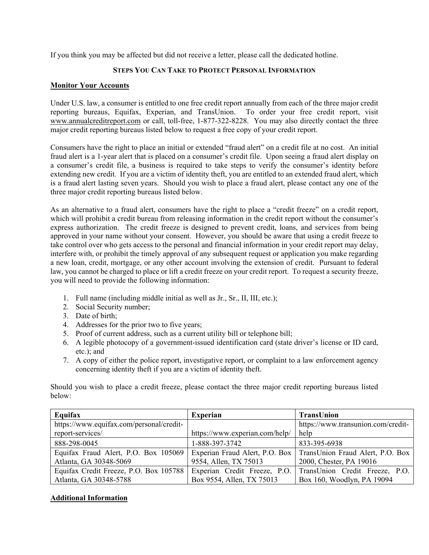If you think you may be affected but did not receive a letter, please call the dedicated hotline.

## **STEPS YOU CAN TAKE TO PROTECT PERSONAL INFORMATION**

## **Monitor Your Accounts**

Under U.S. law, a consumer is entitled to one free credit report annually from each of the three major credit reporting bureaus, Equifax, Experian, and TransUnion. To order your free credit report, visit www.annualcreditreport.com or call, toll-free, 1-877-322-8228. You may also directly contact the three major credit reporting bureaus listed below to request a free copy of your credit report.

Consumers have the right to place an initial or extended "fraud alert" on a credit file at no cost. An initial fraud alert is a 1-year alert that is placed on a consumer's credit file. Upon seeing a fraud alert display on a consumer's credit file, a business is required to take steps to verify the consumer's identity before extending new credit. If you are a victim of identity theft, you are entitled to an extended fraud alert, which is a fraud alert lasting seven years. Should you wish to place a fraud alert, please contact any one of the three major credit reporting bureaus listed below.

As an alternative to a fraud alert, consumers have the right to place a "credit freeze" on a credit report, which will prohibit a credit bureau from releasing information in the credit report without the consumer's express authorization. The credit freeze is designed to prevent credit, loans, and services from being approved in your name without your consent. However, you should be aware that using a credit freeze to take control over who gets access to the personal and financial information in your credit report may delay, interfere with, or prohibit the timely approval of any subsequent request or application you make regarding a new loan, credit, mortgage, or any other account involving the extension of credit. Pursuant to federal law, you cannot be charged to place or lift a credit freeze on your credit report. To request a security freeze, you will need to provide the following information:

- 1. Full name (including middle initial as well as Jr., Sr., II, III, etc.);
- 2. Social Security number;
- 3. Date of birth;
- 4. Addresses for the prior two to five years;
- 5. Proof of current address, such as a current utility bill or telephone bill;
- 6. A legible photocopy of a government-issued identification card (state driver's license or ID card, etc.); and
- 7. A copy of either the police report, investigative report, or complaint to a law enforcement agency concerning identity theft if you are a victim of identity theft.

Should you wish to place a credit freeze, please contact the three major credit reporting bureaus listed below:

| Equifax                                  | <b>Experian</b>                | TransUnion                                                        |
|------------------------------------------|--------------------------------|-------------------------------------------------------------------|
| https://www.equifax.com/personal/credit- |                                | https://www.transunion.com/credit-                                |
| report-services/                         | https://www.experian.com/help/ | help                                                              |
| 888-298-0045                             | 1-888-397-3742                 | 833-395-6938                                                      |
| Equifax Fraud Alert, P.O. Box 105069     |                                | Experian Fraud Alert, P.O. Box   TransUnion Fraud Alert, P.O. Box |
| Atlanta, GA 30348-5069                   | 9554, Allen, TX 75013          | 2000, Chester, PA 19016                                           |
| Equifax Credit Freeze, P.O. Box 105788   | Experian Credit Freeze, P.O.   | TransUnion Credit Freeze, P.O.                                    |
| Atlanta, GA 30348-5788                   | Box 9554, Allen, TX 75013      | Box 160, Woodlyn, PA 19094                                        |

# **Additional Information**